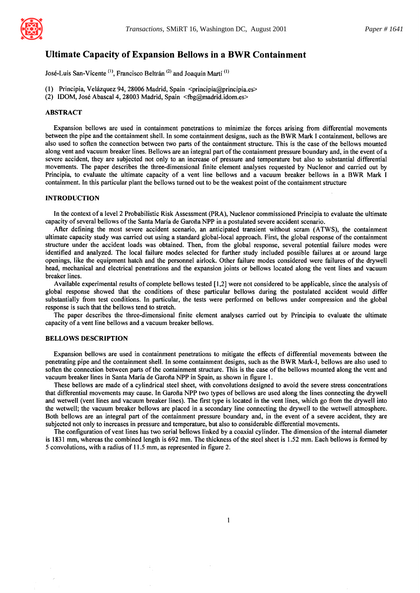

# **Ultimate Capacity of Expansion Bellows in a BWR Containment**

José-Luis San-Vicente<sup>(1)</sup>, Francisco Beltrán<sup>(2)</sup> and Joaquín Martí<sup>(1)</sup>

- (1) Principia, Velázquez 94, 28006 Madrid, Spain  $\leq$ principia@principia.es>
- (2) IDOM, José Abascal 4, 28003 Madrid, Spain <fbg@madrid.idom.es>

## ABSTRACT

Expansion bellows are used in containment penetrations to minimize the forces arising from differential movements between the pipe and the containment shell. In some containment designs, such as the BWR Mark I containment, bellows are also used to soften the connection between two parts of the containment structure. This is the case of the bellows mounted along vent and vacuum breaker lines. Bellows are an integral part of the containment pressure boundary and, in the event of a severe accident, they are subjected not only to an increase of pressure and temperature but also to substantial differential movements. The paper describes the three-dimensional finite element analyses requested by Nuclenor and carried out by Principia, to evaluate the ultimate capacity of a vent line bellows and a vacuum breaker bellows in a BWR Mark I containment. In this particular plant the bellows turned out to be the weakest point of the containment structure

#### INTRODUCTION

In the context of a level 2 Probabilistic Risk Assessment (PRA), Nuclenor commissioned Principia to evaluate the ultimate capacity of several bellows of the Santa Maria de Garofia NPP in a postulated severe accident scenario.

After defining the most severe accident scenario, an anticipated transient without scram (ATWS), the containment ultimate capacity study was carried out using a standard global-local approach. First, the global response of the containment structure under the accident loads was obtained. Then, from the global response, several potential failure modes were identified and analyzed. The local failure modes selected for further study included possible failures at or around large openings, like the equipment hatch and the personnel airlock. Other failure modes considered were failures of the drywell head, mechanical and electrical penetrations and the expansion joints or bellows located along the vent lines and vacuum breaker lines.

Available experimental results of complete bellows tested [ 1,2] were not considered to be applicable, since the analysis of global response showed that the conditions of these particular bellows during the postulated accident would differ substantially from test conditions. In particular, the tests were performed on bellows under compression and the global response is such that the bellows tend to stretch.

The paper describes the three-dimensional finite element analyses carried out by Principia to evaluate the ultimate capacity of a vent line bellows and a vacuum breaker bellows.

#### BELLOWS DESCRIPTION

Expansion bellows are used in containment penetrations to mitigate the effects of differential movements between the penetrating pipe and the containment shell. In some containment designs, such as the B WR Mark-I, bellows are also used to soften the connection between parts of the containment structure. This is the case of the bellows mounted along the vent and vacuum breaker lines in Santa Maria de Garofia NPP in Spain, as shown in figure 1.

These bellows are made of a cylindrical steel sheet, with convolutions designed to avoid the severe stress concentrations that differential movements may cause. In Garofia NPP two types of bellows are used along the lines connecting the drywell and wetwell (vent lines and vacuum breaker lines). The first type is located in the vent lines, which go from the drywell into the wetwell; the vacuum breaker bellows are placed in a secondary line connecting the drywell to the wetwell atmosphere. Both bellows are an integral part of the containment pressure boundary and, in the event of a severe accident, they are subjected not only to increases in pressure and temperature, but also to considerable differential movements.

The configuration of vent lines has two serial bellows linked by a coaxial cylinder. The dimension of the internal diameter is 1831 mm, whereas the combined length is 692 mm. The thickness of the steel sheet is 1.52 mm. Each bellows is formed by 5 convolutions, with a radius of 11.5 mm, as represented in figure 2.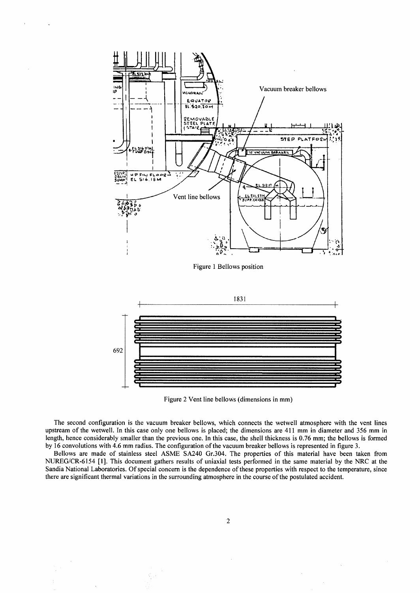

Figure 2 Vent line bellows (dimensions in mm)

The second configuration is the vacuum breaker bellows, which connects the wetwell atmosphere with the vent lines upstream of the wetwell. In this case only one bellows is placed; the dimensions are 411 mm in diameter and 356 mm in length, hence considerably smaller than the previous one. In this case, the shell thickness is 0.76 mm; the bellows is formed by 16 convolutions with 4.6 mm radius. The configuration of the vacuum breaker bellows is represented in figure 3.

Bellows are made of stainless steel ASME SA240 Gr.304. The properties of this material have been taken from NUREG/CR-6154 [1]. This document gathers results of uniaxial tests performed in the same material by the NRC at the Sandia National Laboratories. Of special concern is the dependence of these properties with respect to the temperature, since there are significant thermal variations in the surrounding atmosphere in the course of the postulated accident.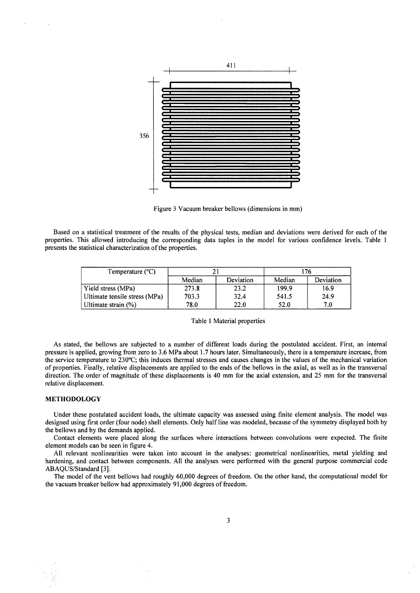

Figure 3 Vacuum breaker bellows (dimensions in mm)

Based on a statistical treatment of the results of the physical tests, median and deviations were derived for each of the properties. This allowed introducing the corresponding data tuples in the model for various confidence levels. Table 1 presents the statistical characterization of the properties.

| Temperature $(^{\circ}C)$     |        |           | 176    |           |
|-------------------------------|--------|-----------|--------|-----------|
|                               | Median | Deviation | Median | Deviation |
| Yield stress (MPa)            | 273.8  | 23.2      | 199.9  | 16.9      |
| Ultimate tensile stress (MPa) | 703.3  | 32.4      | 541.5  | 24.9      |
| Ultimate strain (%)           | 78.0   | 22.0      | 52.0   | 7.0       |

#### Table 1 Material properties

As stated, the bellows are subjected to a number of different loads during the postulated accident. First, an internal pressure is applied, growing from zero to 3.6 MPa about 1.7 hours later. Simultaneously, there is a temperature increase, from the service temperature to 230°C; this induces thermal stresses and causes changes in the values of the mechanical variation of properties. Finally, relative displacements are applied to the ends of the bellows in the axial, as well as in the transversal direction. The order of magnitude of these displacements is 40 mm for the axial extension, and 25 mm for the transversal relative displacement.

#### METHODOLOGY

Under these postulated accident loads, the ultimate capacity was assessed using finite element analysis. The model was designed using first order (four node) shell elements. Only half line was modeled, because of the symmetry displayed both by the bellows and by the demands applied.

Contact elements were placed along the surfaces where interactions between convolutions were expected. The finite element models can be seen in figure 4.

All relevant nonlinearities were taken into account in the analyses: geometrical nonlinearities, metal yielding and hardening, and contact between components. All the analyses were performed with the general purpose commercial code ABAQUS/Standard [3].

The model of the vent bellows had roughly 60,000 degrees of freedom. On the other hand, the computational model for the vacuum breaker bellow had approximately 91,000 degrees of freedom.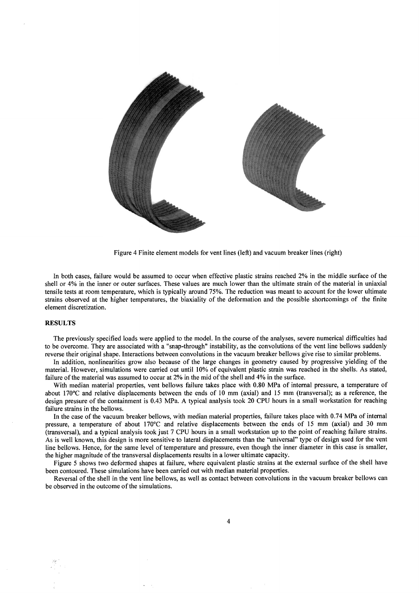

Figure 4 Finite element models for vent lines (left) and vacuum breaker lines (right)

In both cases, failure would be assumed to occur when effective plastic strains reached 2% in the middle surface of the shell or 4% in the inner or outer surfaces. These values are much lower than the ultimate strain of the material in uniaxial tensile tests at room temperature, which is typically around 75%. The reduction was meant to account for the lower ultimate strains observed at the higher temperatures, the biaxiality of the deformation and the possible shortcomings of the finite element discretization.

# RESULTS

 $~\cdot$   $~\cdot$   $~\cdot$   $~\cdot$   $~\cdot$   $~\cdot$   $~\cdot$   $~\cdot$   $~\cdot$   $~\cdot$   $~\cdot$   $~\cdot$   $~\cdot$   $~\cdot$   $~\cdot$   $~\cdot$   $~\cdot$   $~\cdot$   $~\cdot$   $~\cdot$   $~\cdot$   $~\cdot$   $~\cdot$   $~\cdot$   $~\cdot$   $~\cdot$   $~\cdot$   $~\cdot$   $~\cdot$   $~\cdot$   $~\cdot$   $~\cdot$   $~\cdot$   $~\cdot$   $~\cdot$   $~\cdot$   $~\cdot$ 

The previously specified loads were applied to the model. In the course of the analyses, severe numerical difficulties had to be overcome. They are associated with a "snap-through" instability, as the convolutions of the vent line bellows suddenly reverse their original shape. Interactions between convolutions in the vacuum breaker bellows give rise to similar problems.

In addition, nonlinearities grow also because of the large changes in geometry caused by progressive yielding of the material. However, simulations were carried out until 10% of equivalent plastic strain was reached in the shells. As stated, failure of the material was assumed to occur at 2% in the mid of the shell and 4% in the surface.

With median material properties, vent bellows failure takes place with 0.80 MPa of internal pressure, a temperature of about 170°C and relative displacements between the ends of 10 mm (axial) and 15 mm (transversal); as a reference, the design pressure of the containment is 0.43 MPa. A typical analysis took 20 CPU hours in a small workstation for reaching failure strains in the bellows.

In the case of the vacuum breaker bellows, with median material properties, failure takes place with 0.74 MPa of internal pressure, a temperature of about 170°C and relative displacements between the ends of 15 mm (axial) and 30 mm (transversal), and a typical analysis took just 7 CPU hours in a small workstation up to the point of reaching failure strains. As is well known, this design is more sensitive to lateral displacements than the "universal" type of design used for the vent line bellows. Hence, for the same level of temperature and pressure, even though the inner diameter in this case is smaller, the higher magnitude of the transversal displacements results in a lower ultimate capacity.

Figure 5 shows two deformed shapes at failure, where equivalent plastic strains at the external surface of the shell have been contoured. These simulations have been carried out with median material properties.

Reversal of the shell in the vent line bellows, as well as contact between convolutions in the vacuum breaker bellows can be observed in the outcome of the simulations.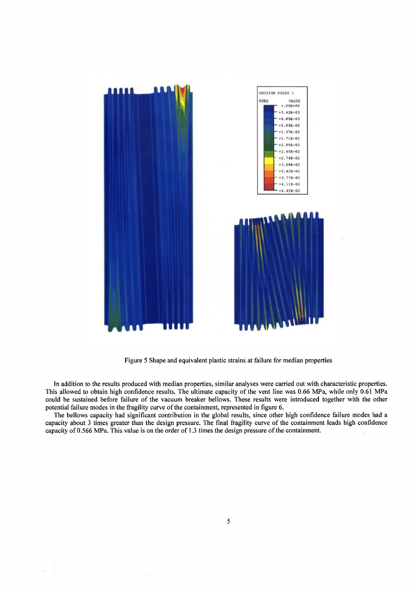

**Figure 5 Shape and equivalent plastic strains at failure for median properties** 

**In addition to the results produced with median properties, similar analyses were carried out with characteristic properties. This allowed to obtain high confidence results. The ultimate capacity of the vent line was 0.66 MPa, while only 0.61 MPa could be sustained before failure of the vacuum breaker bellows. These results were introduced together with the other potential failure modes in the fragility curve of the containment, represented in figure 6.** 

**The bellows capacity had significant contribution in the global results, since other high confidence failure modes had a capacity about 3 times greater than the design pressure. The final fragility curve of the containment leads high confidence capacity of 0.566 MPa. This value is on the order of 1.3 times the design pressure of the containment.**